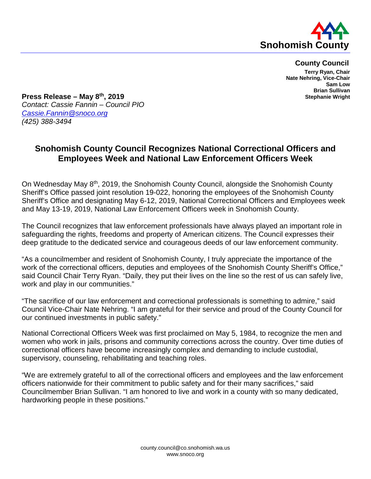

**County Council**

**Terry Ryan, Chair Nate Nehring, Vice-Chair Sam Low Brian Sullivan Stephanie Wright**

**Press Release – May 8th, 2019** *Contact: Cassie Fannin – Council PIO [Cassie.Fannin@snoco.org](mailto:Cassie.Fannin@snoco.org) (425) 388-3494*

## **Snohomish County Council Recognizes National Correctional Officers and Employees Week and National Law Enforcement Officers Week**

On Wednesday May 8<sup>th</sup>, 2019, the Snohomish County Council, alongside the Snohomish County Sheriff's Office passed joint resolution 19-022, honoring the employees of the Snohomish County Sheriff's Office and designating May 6-12, 2019, National Correctional Officers and Employees week and May 13-19, 2019, National Law Enforcement Officers week in Snohomish County.

The Council recognizes that law enforcement professionals have always played an important role in safeguarding the rights, freedoms and property of American citizens. The Council expresses their deep gratitude to the dedicated service and courageous deeds of our law enforcement community.

"As a councilmember and resident of Snohomish County, I truly appreciate the importance of the work of the correctional officers, deputies and employees of the Snohomish County Sheriff's Office," said Council Chair Terry Ryan. "Daily, they put their lives on the line so the rest of us can safely live, work and play in our communities."

"The sacrifice of our law enforcement and correctional professionals is something to admire," said Council Vice-Chair Nate Nehring. "I am grateful for their service and proud of the County Council for our continued investments in public safety."

National Correctional Officers Week was first proclaimed on May 5, 1984, to recognize the men and women who work in jails, prisons and community corrections across the country. Over time duties of correctional officers have become increasingly complex and demanding to include custodial, supervisory, counseling, rehabilitating and teaching roles.

"We are extremely grateful to all of the correctional officers and employees and the law enforcement officers nationwide for their commitment to public safety and for their many sacrifices," said Councilmember Brian Sullivan. "I am honored to live and work in a county with so many dedicated, hardworking people in these positions."